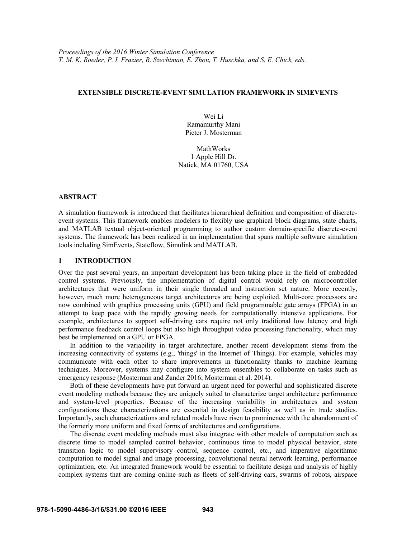## **EXTENSIBLE DISCRETE-EVENT SIMULATION FRAMEWORK IN SIMEVENTS**

Wei Li Ramamurthy Mani Pieter J. Mosterman

MathWorks 1 Apple Hill Dr. Natick, MA 01760, USA

#### **ABSTRACT**

A simulation framework is introduced that facilitates hierarchical definition and composition of discreteevent systems. This framework enables modelers to flexibly use graphical block diagrams, state charts, and MATLAB textual object-oriented programming to author custom domain-specific discrete-event systems. The framework has been realized in an implementation that spans multiple software simulation tools including SimEvents, Stateflow, Simulink and MATLAB.

## **1 INTRODUCTION**

Over the past several years, an important development has been taking place in the field of embedded control systems. Previously, the implementation of digital control would rely on microcontroller architectures that were uniform in their single threaded and instruction set nature. More recently, however, much more heterogeneous target architectures are being exploited. Multi-core processors are now combined with graphics processing units (GPU) and field programmable gate arrays (FPGA) in an attempt to keep pace with the rapidly growing needs for computationally intensive applications. For example, architectures to support self-driving cars require not only traditional low latency and high performance feedback control loops but also high throughput video processing functionality, which may best be implemented on a GPU or FPGA.

In addition to the variability in target architecture, another recent development stems from the increasing connectivity of systems (e.g., 'things' in the Internet of Things). For example, vehicles may communicate with each other to share improvements in functionality thanks to machine learning techniques. Moreover, systems may configure into system ensembles to collaborate on tasks such as emergency response (Mosterman and Zander 2016; Mosterman et al. 2014).

Both of these developments have put forward an urgent need for powerful and sophisticated discrete event modeling methods because they are uniquely suited to characterize target architecture performance and system-level properties. Because of the increasing variability in architectures and system configurations these characterizations are essential in design feasibility as well as in trade studies. Importantly, such characterizations and related models have risen to prominence with the abandonment of the formerly more uniform and fixed forms of architectures and configurations.

The discrete event modeling methods must also integrate with other models of computation such as discrete time to model sampled control behavior, continuous time to model physical behavior, state transition logic to model supervisory control, sequence control, etc., and imperative algorithmic computation to model signal and image processing, convolutional neural network learning, performance optimization, etc. An integrated framework would be essential to facilitate design and analysis of highly complex systems that are coming online such as fleets of self-driving cars, swarms of robots, airspace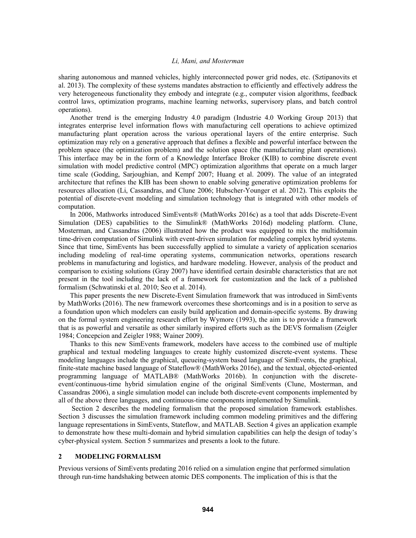sharing autonomous and manned vehicles, highly interconnected power grid nodes, etc. (Sztipanovits et al. 2013). The complexity of these systems mandates abstraction to efficiently and effectively address the very heterogeneous functionality they embody and integrate (e.g., computer vision algorithms, feedback control laws, optimization programs, machine learning networks, supervisory plans, and batch control operations).

Another trend is the emerging Industry 4.0 paradigm (Industrie 4.0 Working Group 2013) that integrates enterprise level information flows with manufacturing cell operations to achieve optimized manufacturing plant operation across the various operational layers of the entire enterprise. Such optimization may rely on a generative approach that defines a flexible and powerful interface between the problem space (the optimization problem) and the solution space (the manufacturing plant operations). This interface may be in the form of a Knowledge Interface Broker (KIB) to combine discrete event simulation with model predictive control (MPC) optimization algorithms that operate on a much larger time scale (Godding, Sarjoughian, and Kempf 2007; Huang et al. 2009). The value of an integrated architecture that refines the KIB has been shown to enable solving generative optimization problems for resources allocation (Li, Cassandras, and Clune 2006; Hubscher-Younger et al. 2012). This exploits the potential of discrete-event modeling and simulation technology that is integrated with other models of computation.

In 2006, Mathworks introduced SimEvents® (MathWorks 2016c) as a tool that adds Discrete-Event Simulation (DES) capabilities to the Simulink® (MathWorks 2016d) modeling platform. Clune, Mosterman, and Cassandras (2006) illustrated how the product was equipped to mix the multidomain time-driven computation of Simulink with event-driven simulation for modeling complex hybrid systems. Since that time, SimEvents has been successfully applied to simulate a variety of application scenarios including modeling of real-time operating systems, communication networks, operations research problems in manufacturing and logistics, and hardware modeling. However, analysis of the product and comparison to existing solutions (Gray 2007) have identified certain desirable characteristics that are not present in the tool including the lack of a framework for customization and the lack of a published formalism (Schwatinski et al. 2010; Seo et al. 2014).

This paper presents the new Discrete-Event Simulation framework that was introduced in SimEvents by MathWorks (2016). The new framework overcomes these shortcomings and is in a position to serve as a foundation upon which modelers can easily build application and domain-specific systems. By drawing on the formal system engineering research effort by Wymore (1993), the aim is to provide a framework that is as powerful and versatile as other similarly inspired efforts such as the DEVS formalism (Zeigler 1984; Concepcion and Zeigler 1988; Wainer 2009).

Thanks to this new SimEvents framework, modelers have access to the combined use of multiple graphical and textual modeling languages to create highly customized discrete-event systems. These modeling languages include the graphical, queueing-system based language of SimEvents, the graphical, finite-state machine based language of Stateflow® (MathWorks 2016e), and the textual, objected-oriented programming language of MATLAB® (MathWorks 2016b). In conjunction with the discreteevent/continuous-time hybrid simulation engine of the original SimEvents (Clune, Mosterman, and Cassandras 2006), a single simulation model can include both discrete-event components implemented by all of the above three languages, and continuous-time components implemented by Simulink.

Section 2 describes the modeling formalism that the proposed simulation framework establishes. Section 3 discusses the simulation framework including common modeling primitives and the differing language representations in SimEvents, Stateflow, and MATLAB. Section 4 gives an application example to demonstrate how these multi-domain and hybrid simulation capabilities can help the design of today's cyber-physical system. Section 5 summarizes and presents a look to the future.

# **2 MODELING FORMALISM**

Previous versions of SimEvents predating 2016 relied on a simulation engine that performed simulation through run-time handshaking between atomic DES components. The implication of this is that the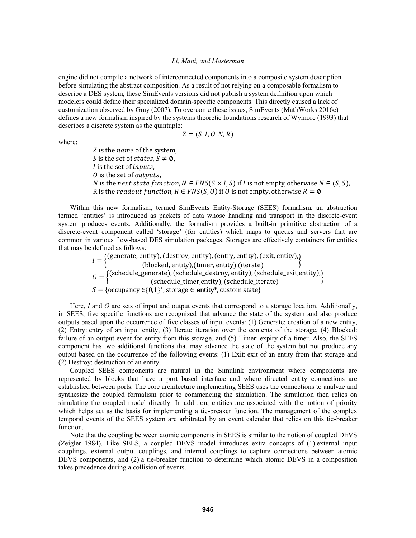engine did not compile a network of interconnected components into a composite system description before simulating the abstract composition. As a result of not relying on a composable formalism to describe a DES system, these SimEvents versions did not publish a system definition upon which modelers could define their specialized domain-specific components. This directly caused a lack of customization observed by Gray (2007). To overcome these issues, SimEvents (MathWorks 2016c) defines a new formalism inspired by the systems theoretic foundations research of Wymore (1993) that describes a discrete system as the quintuple:

$$
Z = (S, I, O, N, R)
$$

where:

Z is the *name* of the system. S is the set of states,  $S \neq \emptyset$ ,  *is the set of <i>inputs*.  $\theta$  is the set of outputs. N is the next state function,  $N \in FNS(S \times I, S)$  if *I* is not empty, otherwise  $N \in (S, S)$ , R is the *readout function*,  $R \in FNS(S, 0)$  if 0 is not empty, otherwise  $R = \emptyset$ .

Within this new formalism, termed SimEvents Entity-Storage (SEES) formalism, an abstraction termed 'entities' is introduced as packets of data whose handling and transport in the discrete-event system produces events. Additionally, the formalism provides a built-in primitive abstraction of a discrete-event component called 'storage' (for entities) which maps to queues and servers that are common in various flow-based DES simulation packages. Storages are effectively containers for entities that may be defined as follows:

> $I = \left\{ \begin{matrix} \text{(generate, entity)}, \text{(destroy, entity)}, \text{(entry, entity)}, \text{(exit, entity)}, \text{(block, entity)}, \text{(ا} \text{|}) \end{matrix} \right\}$  $O = \left\{ \begin{matrix} (\text{schedule\_generate}) , (\text{schedule\_destroy}, \text{entity}) , (\text{schedule\_exit}, \text{entity}) , (\text{schedule\_iter}) , (\text{schedule\_iter}) , (\text{scale\_iter}) , (\text{scale\_iter}) , (\text{scale\_iter}) , (\text{scale\_iter}) , (\text{scale\_iter}) , (\text{scale\_iter}) , (\text{scale\_iter}) , (\text{scale\_iter}) , (\text{scale\_iter}) , (\text{scale\_iter}) , (\text{scale\_iter}) , (\text{scale\_iter}) , (\text{scale\_iter}) , (\text{scale\_iter}) , (\text{scale\_iter}) , (\text{scale\_iter}) , (\text{scale\_iter}) , (\text{scale\_iter}) , (\text{scale\_iter}) , (\text{scale\_iter})$  $S = \{occupancy \in \{0,1\}^*, store \in \textbf{entity}^*, custom state\}$

Here, *I* and *O* are sets of input and output events that correspond to a storage location. Additionally, in SEES, five specific functions are recognized that advance the state of the system and also produce outputs based upon the occurrence of five classes of input events: (1) Generate: creation of a new entity, (2) Entry: entry of an input entity, (3) Iterate: iteration over the contents of the storage, (4) Blocked: failure of an output event for entity from this storage, and (5) Timer: expiry of a timer. Also, the SEES component has two additional functions that may advance the state of the system but not produce any output based on the occurrence of the following events: (1) Exit: exit of an entity from that storage and (2) Destroy: destruction of an entity.

Coupled SEES components are natural in the Simulink environment where components are represented by blocks that have a port based interface and where directed entity connections are established between ports. The core architecture implementing SEES uses the connections to analyze and synthesize the coupled formalism prior to commencing the simulation. The simulation then relies on simulating the coupled model directly. In addition, entities are associated with the notion of priority which helps act as the basis for implementing a tie-breaker function. The management of the complex temporal events of the SEES system are arbitrated by an event calendar that relies on this tie-breaker function.

Note that the coupling between atomic components in SEES is similar to the notion of coupled DEVS (Zeigler 1984). Like SEES, a coupled DEVS model introduces extra concepts of (1) external input couplings, external output couplings, and internal couplings to capture connections between atomic DEVS components, and (2) a tie-breaker function to determine which atomic DEVS in a composition takes precedence during a collision of events.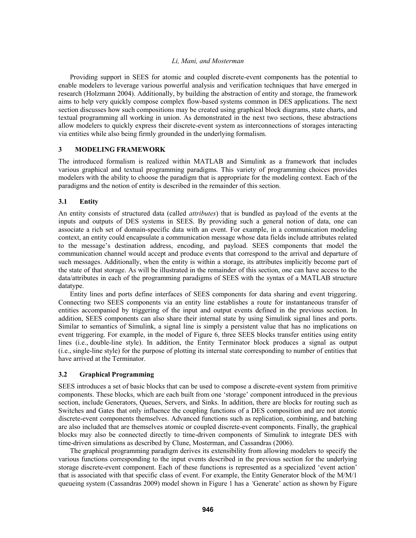Providing support in SEES for atomic and coupled discrete-event components has the potential to enable modelers to leverage various powerful analysis and verification techniques that have emerged in research (Holzmann 2004). Additionally, by building the abstraction of entity and storage, the framework aims to help very quickly compose complex flow-based systems common in DES applications. The next section discusses how such compositions may be created using graphical block diagrams, state charts, and textual programming all working in union. As demonstrated in the next two sections, these abstractions allow modelers to quickly express their discrete-event system as interconnections of storages interacting via entities while also being firmly grounded in the underlying formalism.

# **3 MODELING FRAMEWORK**

The introduced formalism is realized within MATLAB and Simulink as a framework that includes various graphical and textual programming paradigms. This variety of programming choices provides modelers with the ability to choose the paradigm that is appropriate for the modeling context. Each of the paradigms and the notion of entity is described in the remainder of this section.

## **3.1 Entity**

An entity consists of structured data (called *attributes*) that is bundled as payload of the events at the inputs and outputs of DES systems in SEES. By providing such a general notion of data, one can associate a rich set of domain-specific data with an event. For example, in a communication modeling context, an entity could encapsulate a communication message whose data fields include attributes related to the message's destination address, encoding, and payload. SEES components that model the communication channel would accept and produce events that correspond to the arrival and departure of such messages. Additionally, when the entity is within a storage, its attributes implicitly become part of the state of that storage. As will be illustrated in the remainder of this section, one can have access to the data/attributes in each of the programming paradigms of SEES with the syntax of a MATLAB structure datatype.

Entity lines and ports define interfaces of SEES components for data sharing and event triggering. Connecting two SEES components via an entity line establishes a route for instantaneous transfer of entities accompanied by triggering of the input and output events defined in the previous section. In addition, SEES components can also share their internal state by using Simulink signal lines and ports. Similar to semantics of Simulink, a signal line is simply a persistent value that has no implications on event triggering. For example, in the model of Figure 6, three SEES blocks transfer entities using entity lines (i.e., double-line style). In addition, the Entity Terminator block produces a signal as output (i.e., single-line style) for the purpose of plotting its internal state corresponding to number of entities that have arrived at the Terminator.

## **3.2 Graphical Programming**

SEES introduces a set of basic blocks that can be used to compose a discrete-event system from primitive components. These blocks, which are each built from one 'storage' component introduced in the previous section, include Generators, Queues, Servers, and Sinks. In addition, there are blocks for routing such as Switches and Gates that only influence the coupling functions of a DES composition and are not atomic discrete-event components themselves. Advanced functions such as replication, combining, and batching are also included that are themselves atomic or coupled discrete-event components. Finally, the graphical blocks may also be connected directly to time-driven components of Simulink to integrate DES with time-driven simulations as described by Clune, Mosterman, and Cassandras (2006).

The graphical programming paradigm derives its extensibility from allowing modelers to specify the various functions corresponding to the input events described in the previous section for the underlying storage discrete-event component. Each of these functions is represented as a specialized 'event action' that is associated with that specific class of event. For example, the Entity Generator block of the M/M/1 queueing system (Cassandras 2009) model shown in Figure 1 has a *'*Generate' action as shown by Figure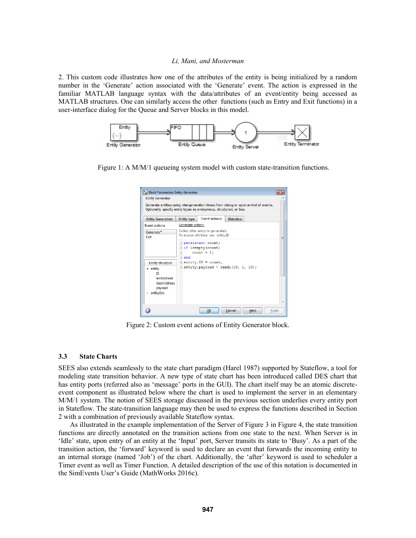2. This custom code illustrates how one of the attributes of the entity is being initialized by a random number in the 'Generate' action associated with the 'Generate' event. The action is expressed in the familiar MATLAB language syntax with the data/attributes of an event/entity being accessed as MATLAB structures. One can similarly access the other functions (such as Entry and Exit functions) in a user-interface dialog for the Queue and Server blocks in this model.



Figure 1: A M/M/1 queueing system model with custom state-transition functions.

|                                                               | Generate entities using intergeneration times from dialog or upon arrival of events.<br>Optionally, specify entity types as anonymous, structured, or bus. |  |
|---------------------------------------------------------------|------------------------------------------------------------------------------------------------------------------------------------------------------------|--|
| <b>Entity Generation</b>                                      | <b>Event actions</b><br><b>Statistics</b><br>Entity type                                                                                                   |  |
| <b>Event actions</b>                                          | Generate action:                                                                                                                                           |  |
| Generate*<br>Exit                                             | Called after entity is generated.<br>To access attribute use: entity.ID                                                                                    |  |
| <b>Entity structure</b>                                       | 1 persistent count;<br>2 if isempty (count)<br>$count = 1$ :<br>$\overline{3}$<br>4 end<br>$5$ entity. ID = count;                                         |  |
| ⊿ entity<br><b>TD</b><br>srcAddress<br>destAddress<br>payload | $6$ entity.payload = randi(10, 1, 10);                                                                                                                     |  |

Figure 2: Custom event actions of Entity Generator block.

## **3.3 State Charts**

SEES also extends seamlessly to the state chart paradigm (Harel 1987) supported by Stateflow, a tool for modeling state transition behavior. A new type of state chart has been introduced called DES chart that has entity ports (referred also as 'message' ports in the GUI). The chart itself may be an atomic discreteevent component as illustrated below where the chart is used to implement the server in an elementary M/M/1 system. The notion of SEES storage discussed in the previous section underlies every entity port in Stateflow. The state-transition language may then be used to express the functions described in Section 2 with a combination of previously available Stateflow syntax.

As illustrated in the example implementation of the Server of Figure 3 in Figure 4, the state transition functions are directly annotated on the transition actions from one state to the next. When Server is in 'Idle' state, upon entry of an entity at the 'Input' port, Server transits its state to 'Busy'. As a part of the transition action, the 'forward' keyword is used to declare an event that forwards the incoming entity to an internal storage (named 'Job') of the chart. Additionally, the 'after' keyword is used to scheduler a Timer event as well as Timer Function. A detailed description of the use of this notation is documented in the SimEvents User's Guide (MathWorks 2016c).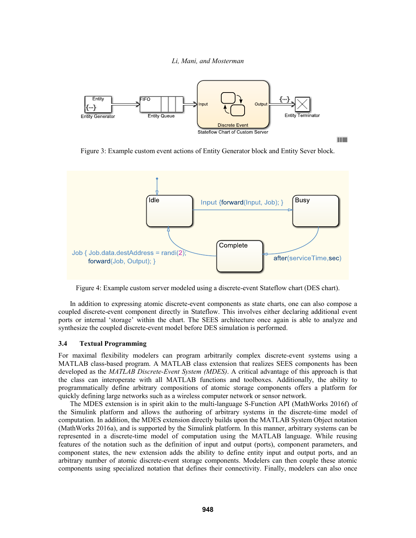

Figure 3: Example custom event actions of Entity Generator block and Entity Sever block.

H



Figure 4: Example custom server modeled using a discrete-event Stateflow chart (DES chart).

In addition to expressing atomic discrete-event components as state charts, one can also compose a coupled discrete-event component directly in Stateflow. This involves either declaring additional event ports or internal 'storage' within the chart. The SEES architecture once again is able to analyze and synthesize the coupled discrete-event model before DES simulation is performed.

## **3.4 Textual Programming**

For maximal flexibility modelers can program arbitrarily complex discrete-event systems using a MATLAB class-based program. A MATLAB class extension that realizes SEES components has been developed as the *MATLAB Discrete-Event System (MDES)*. A critical advantage of this approach is that the class can interoperate with all MATLAB functions and toolboxes. Additionally, the ability to programmatically define arbitrary compositions of atomic storage components offers a platform for quickly defining large networks such as a wireless computer network or sensor network.

The MDES extension is in spirit akin to the multi-language S-Function API (MathWorks 2016f) of the Simulink platform and allows the authoring of arbitrary systems in the discrete-time model of computation. In addition, the MDES extension directly builds upon the MATLAB System Object notation (MathWorks 2016a), and is supported by the Simulink platform. In this manner, arbitrary systems can be represented in a discrete-time model of computation using the MATLAB language. While reusing features of the notation such as the definition of input and output (ports), component parameters, and component states, the new extension adds the ability to define entity input and output ports, and an arbitrary number of atomic discrete-event storage components. Modelers can then couple these atomic components using specialized notation that defines their connectivity. Finally, modelers can also once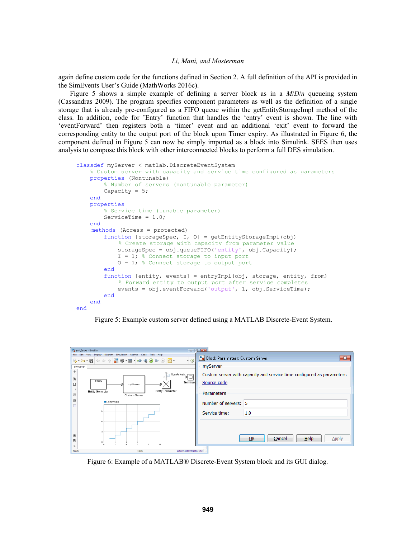again define custom code for the functions defined in Section 2. A full definition of the API is provided in the SimEvents User's Guide (MathWorks 2016c).

Figure 5 shows a simple example of defining a server block as in a *M*/*D*/*n* queueing system (Cassandras 2009). The program specifies component parameters as well as the definition of a single storage that is already pre-configured as a FIFO queue within the getEntityStorageImpl method of the class. In addition, code for 'Entry' function that handles the 'entry' event is shown. The line with 'eventForward' then registers both a 'timer' event and an additional 'exit' event to forward the corresponding entity to the output port of the block upon Timer expiry. As illustrated in Figure 6, the component defined in Figure 5 can now be simply imported as a block into Simulink. SEES then uses analysis to compose this block with other interconnected blocks to perform a full DES simulation.

```
classdef myServer < matlab.DiscreteEventSystem
     % Custom server with capacity and service time configured as parameters 
     properties (Nontunable)
         % Number of servers (nontunable parameter)
        Capacity = 5;
     end 
     properties
         % Service time (tunable parameter)
        ServiceTime = 1.0;
     end 
    methods (Access = protected)
         function [storageSpec, I, O] = getEntityStorageImpl(obj)
             % Create storage with capacity from parameter value
             storageSpec = obj.queueFIFO('entity', obj.Capacity);
            I = 1; % Connect storage to input port
            0 = 1; % Connect storage to output port
         end 
         function [entity, events] = entryImpl(obj, storage, entity, from)
             % Forward entity to output port after service completes
             events = obj.eventForward('output', 1, obj.ServiceTime);
         end 
     end
end
```


| exMyServer - Simulink                                                                                                                                                                                                                                                                       |                                                                                                                                                                             |
|---------------------------------------------------------------------------------------------------------------------------------------------------------------------------------------------------------------------------------------------------------------------------------------------|-----------------------------------------------------------------------------------------------------------------------------------------------------------------------------|
| File Edit View Display Diagram Simulation Analysis Code Tools Help                                                                                                                                                                                                                          | Block Parameters: Custom Server<br>$-23$<br>$\circ$ 0                                                                                                                       |
| exMvServer<br>$\circledast$<br>NumArrivals<br>$\mathbb{Q}$<br>Entity<br>霞<br>myServer<br>$\Rightarrow$<br><b>Entity Terminator</b><br><b>Entity Generator</b><br>$\overline{\mathbf{A}^{\mathbf{z}}_{\mathbf{z}}}$<br>Custom Server<br>$\overline{\mathbb{Z}_2}$<br>NumArrivals<br>$\Omega$ | myServer<br>Custom server with capacity and service time configured as parameters<br>Source code<br>Terminato<br>Parameters<br>Number of servers: 5<br>Service time:<br>1.0 |
| 6<br>$\overline{\mathbf{3}}$<br>œ<br>图<br>n<br>$\overline{2}$<br>$\mathbf{R}$<br>10<br>n,<br>$\gg$<br>150%<br>Ready                                                                                                                                                                         | <b>Help</b><br>OK<br>Cancel<br>Apply<br>auto(VariableStepDiscrete)                                                                                                          |

Figure 6: Example of a MATLAB® Discrete-Event System block and its GUI dialog.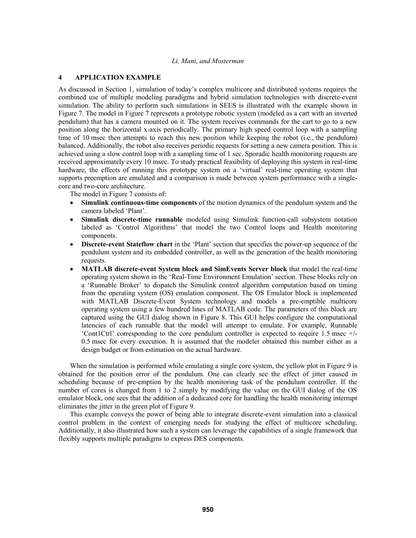# **4 APPLICATION EXAMPLE**

As discussed in Section 1, simulation of today's complex multicore and distributed systems requires the combined use of multiple modeling paradigms and hybrid simulation technologies with discrete-event simulation. The ability to perform such simulations in SEES is illustrated with the example shown in Figure 7. The model in Figure 7 represents a prototype robotic system (modeled as a cart with an inverted pendulum) that has a camera mounted on it. The system receives commands for the cart to go to a new position along the horizontal x-axis periodically. The primary high speed control loop with a sampling time of 10 msec then attempts to reach this new position while keeping the robot (i.e., the pendulum) balanced. Additionally, the robot also receives periodic requests for setting a new camera position. This is achieved using a slow control loop with a sampling time of 1 sec. Sporadic health monitoring requests are received approximately every 10 msec. To study practical feasibility of deploying this system in real-time hardware, the effects of running this prototype system on a 'virtual' real-time operating system that supports preemption are emulated and a comparison is made between system performance with a singlecore and two-core architecture.

The model in Figure 7 consists of:

- **Simulink continuous-time components** of the motion dynamics of the pendulum system and the camera labeled 'Plant'.
- **Simulink discrete-time runnable** modeled using Simulink function-call subsystem notation labeled as 'Control Algorithms' that model the two Control loops and Health monitoring components.
- **Discrete-event Stateflow chart** in the 'Plant' section that specifies the power-up sequence of the pendulum system and its embedded controller, as well as the generation of the health monitoring requests.
- **MATLAB discrete-event System block and SimEvents Server block** that model the real-time operating system shown in the 'Real-Time Environment Emulation' section. These blocks rely on a 'Runnable Broker' to dispatch the Simulink control algorithm computation based on timing from the operating system (OS) emulation component. The OS Emulator block is implemented with MATLAB Discrete-Event System technology and models a pre-emptible multicore operating system using a few hundred lines of MATLAB code. The parameters of this block are captured using the GUI dialog shown in Figure 8. This GUI helps configure the computational latencies of each runnable that the model will attempt to emulate. For example, Runnable 'Cont1Ctrl' corresponding to the core pendulum controller is expected to require 1.5 msec +/- 0.5 msec for every execution. It is assumed that the modeler obtained this number either as a design budget or from estimation on the actual hardware.

When the simulation is performed while emulating a single core system, the yellow plot in Figure 9 is obtained for the position error of the pendulum. One can clearly see the effect of jitter caused in scheduling because of pre-emption by the health monitoring task of the pendulum controller. If the number of cores is changed from 1 to 2 simply by modifying the value on the GUI dialog of the OS emulator block, one sees that the addition of a dedicated core for handling the health monitoring interrupt eliminates the jitter in the green plot of Figure 9.

This example conveys the power of being able to integrate discrete-event simulation into a classical control problem in the context of emerging needs for studying the effect of multicore scheduling. Additionally, it also illustrated how such a system can leverage the capabilities of a single framework that flexibly supports multiple paradigms to express DES components.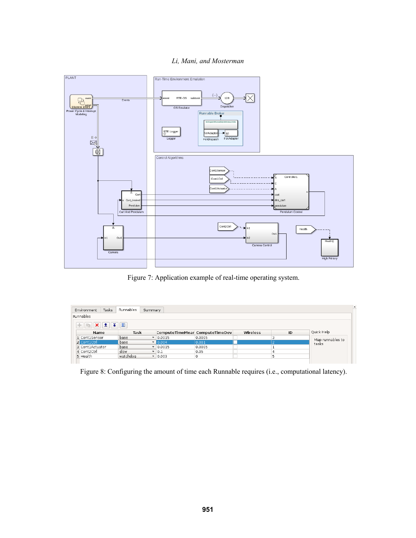

Figure 7: Application example of real-time operating system.

| Environment<br>Tasks                                  | Runnables | Summary |                |                                |          |    |                           |
|-------------------------------------------------------|-----------|---------|----------------|--------------------------------|----------|----|---------------------------|
| Runnables                                             |           |         |                |                                |          |    |                           |
| $+  \mathbb{B}  \mathbf{X}  \mathbf{1}  \mathbf{1}  $ |           |         |                |                                |          |    |                           |
| Name                                                  | Task      |         |                | ComputeTimeMear ComputeTimeDev | Wireless | ID | Quick Help                |
| 1 Cont1Sensor                                         | base      |         | $- 0.0015$     | 0.0005                         |          |    | Map runnables to<br>tasks |
| 2 Cont1Ctrl                                           | base      |         | $\sqrt{0.004}$ | 0.001                          |          |    |                           |
| 3 Cont1Actuator                                       | base      |         | $- 0.0015$     | 0.0005                         |          |    |                           |
| 4 Cont2Ctrl                                           | slow      |         | $-10.1$        | 0.05                           |          |    |                           |
|                                                       |           |         | $= 0.003$      |                                |          |    |                           |

Figure 8: Configuring the amount of time each Runnable requires (i.e., computational latency).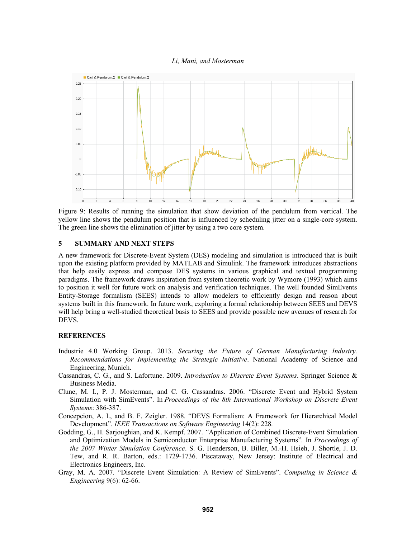

Figure 9: Results of running the simulation that show deviation of the pendulum from vertical. The yellow line shows the pendulum position that is influenced by scheduling jitter on a single-core system. The green line shows the elimination of jitter by using a two core system.

# **5 SUMMARY AND NEXT STEPS**

A new framework for Discrete-Event System (DES) modeling and simulation is introduced that is built upon the existing platform provided by MATLAB and Simulink. The framework introduces abstractions that help easily express and compose DES systems in various graphical and textual programming paradigms. The framework draws inspiration from system theoretic work by Wymore (1993) which aims to position it well for future work on analysis and verification techniques. The well founded SimEvents Entity-Storage formalism (SEES) intends to allow modelers to efficiently design and reason about systems built in this framework. In future work, exploring a formal relationship between SEES and DEVS will help bring a well-studied theoretical basis to SEES and provide possible new avenues of research for DEVS.

## **REFERENCES**

- Industrie 4.0 Working Group. 2013. *Securing the Future of German Manufacturing Industry. Recommendations for Implementing the Strategic Initiative*. National Academy of Science and Engineering, Munich.
- Cassandras, C. G., and S. Lafortune. 2009. *Introduction to Discrete Event Systems*. Springer Science & Business Media.
- Clune, M. I., P. J. Mosterman, and C. G. Cassandras. 2006. "Discrete Event and Hybrid System Simulation with SimEvents". In *Proceedings of the 8th International Workshop on Discrete Event Systems*: 386-387.
- Concepcion, A. I., and B. F. Zeigler. 1988. "DEVS Formalism: A Framework for Hierarchical Model Development". *IEEE Transactions on Software Engineering* 14(2): 228*.*
- Godding, G., H. Sarjoughian, and K. Kempf. 2007. *"*Application of Combined Discrete-Event Simulation and Optimization Models in Semiconductor Enterprise Manufacturing Systems"*.* In *Proceedings of the 2007 Winter Simulation Conference*. S. G. Henderson, B. Biller, M.-H. Hsieh, J. Shortle, J. D. Tew, and R. R. Barton, eds.: 1729-1736. Piscataway, New Jersey: Institute of Electrical and Electronics Engineers, Inc.
- Gray, M. A. 2007. "Discrete Event Simulation: A Review of SimEvents". *Computing in Science & Engineering* 9(6): 62-66.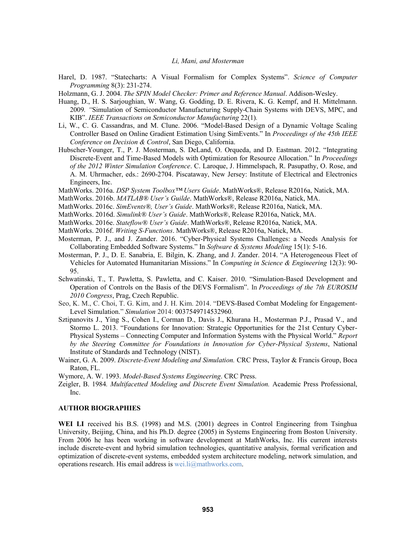- Harel, D. 1987. "Statecharts: A Visual Formalism for Complex Systems". *Science of Computer Programming* 8(3): 231-274.
- Holzmann, G. J. 2004. *The SPIN Model Checker: Primer and Reference Manual*. Addison-Wesley.
- Huang, D., H. S. Sarjoughian, W. Wang, G. Godding, D. E. Rivera, K. G. Kempf, and H. Mittelmann. 2009*. "*Simulation of Semiconductor Manufacturing Supply-Chain Systems with DEVS, MPC, and KIB". *IEEE Transactions on Semiconductor Manufacturing* 22(1)*.*
- Li, W., C. G. Cassandras, and M. Clune. 2006. "Model-Based Design of a Dynamic Voltage Scaling Controller Based on Online Gradient Estimation Using SimEvents." In *Proceedings of the 45th IEEE Conference on Decision & Control*, San Diego, California.
- Hubscher-Younger, T., P. J. Mosterman, S. DeLand, O. Orqueda, and D. Eastman. 2012. "Integrating Discrete-Event and Time-Based Models with Optimization for Resource Allocation." In *Proceedings of the 2012 Winter Simulation Conference*. C. Laroque, J. Himmelspach, R. Pasupathy, O. Rose, and A. M. Uhrmacher, eds.: 2690-2704. Piscataway, New Jersey: Institute of Electrical and Electronics Engineers, Inc.
- MathWorks. 2016a. *DSP System Toolbox™ Users Guide*. MathWorks®, Release R2016a, Natick, MA.
- MathWorks. 2016b. *MATLAB® User's Guilde*. MathWorks®, Release R2016a, Natick, MA.
- MathWorks. 2016c. *SimEvents®, User's Guide*. MathWorks®, Release R2016a, Natick, MA.
- MathWorks. 2016d. *Simulink® User's Guide*. MathWorks®, Release R2016a, Natick, MA.
- MathWorks. 2016e. *Stateflow® User's Guide*. MathWorks®, Release R2016a, Natick, MA.
- MathWorks. 2016f. *Writing S-Functions*. MathWorks®, Release R2016a, Natick, MA.
- Mosterman, P. J., and J. Zander. 2016. "Cyber-Physical Systems Challenges: a Needs Analysis for Collaborating Embedded Software Systems." In *Software & Systems Modeling* 15(1): 5-16.
- Mosterman, P. J., D. E. Sanabria, E. Bilgin, K. Zhang, and J. Zander. 2014. "A Heterogeneous Fleet of Vehicles for Automated Humanitarian Missions." In *Computing in Science & Engineering* 12(3): 90- 95.
- Schwatinski, T., T. Pawletta, S. Pawletta, and C. Kaiser. 2010. "Simulation-Based Development and Operation of Controls on the Basis of the DEVS Formalism". In *Proceedings of the 7th EUROSIM 2010 Congress*, Prag, Czech Republic.
- Seo, K. M., C. Choi, T. G. Kim, and J. H. Kim. 2014. "DEVS-Based Combat Modeling for Engagement-Level Simulation." *Simulation* 2014: 0037549714532960.
- Sztipanovits J., Ying S., Cohen I., Corman D., Davis J., Khurana H., Mosterman P.J., Prasad V., and Stormo L. 2013. "Foundations for Innovation: Strategic Opportunities for the 21st Century Cyber-Physical Systems – Connecting Computer and Information Systems with the Physical World." *Report by the Steering Committee for Foundations in Innovation for Cyber-Physical Systems*, National Institute of Standards and Technology (NIST).
- Wainer, G. A. 2009. *Discrete-Event Modeling and Simulation.* CRC Press, Taylor & Francis Group, Boca Raton, FL.

Wymore, A. W. 1993. *Model-Based Systems Engineering*. CRC Press.

Zeigler, B. 1984*. Multifacetted Modeling and Discrete Event Simulation.* Academic Press Professional, Inc.

#### **AUTHOR BIOGRAPHIES**

WEI LI received his B.S. (1998) and M.S. (2001) degrees in Control Engineering from Tsinghua University, Beijing, China, and his Ph.D. degree (2005) in Systems Engineering from Boston University. From 2006 he has been working in software development at MathWorks, Inc. His current interests include discrete-event and hybrid simulation technologies, quantitative analysis, formal verification and optimization of discrete-event systems, embedded system architecture modeling, network simulation, and operations research. His email address is wei.li@mathworks.com.